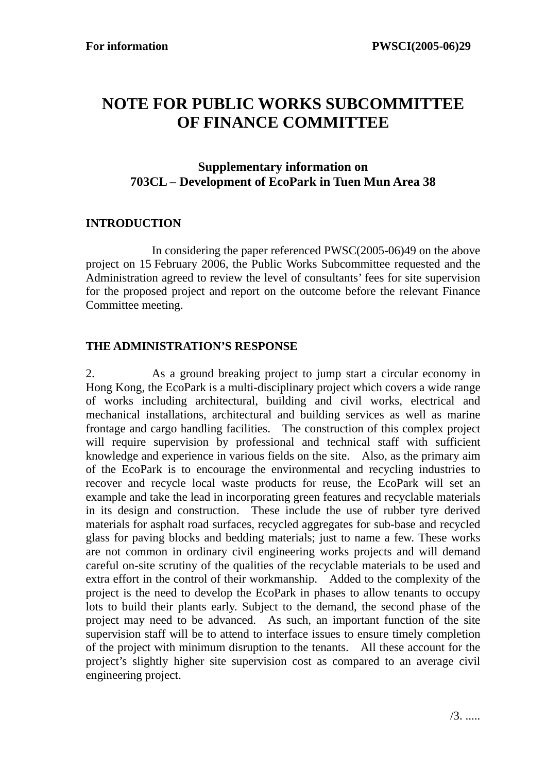## **NOTE FOR PUBLIC WORKS SUBCOMMITTEE OF FINANCE COMMITTEE**

## **Supplementary information on 703CL – Development of EcoPark in Tuen Mun Area 38**

## **INTRODUCTION**

 In considering the paper referenced PWSC(2005-06)49 on the above project on 15 February 2006, the Public Works Subcommittee requested and the Administration agreed to review the level of consultants' fees for site supervision for the proposed project and report on the outcome before the relevant Finance Committee meeting.

## **THE ADMINISTRATION'S RESPONSE**

2. As a ground breaking project to jump start a circular economy in Hong Kong, the EcoPark is a multi-disciplinary project which covers a wide range of works including architectural, building and civil works, electrical and mechanical installations, architectural and building services as well as marine frontage and cargo handling facilities. The construction of this complex project will require supervision by professional and technical staff with sufficient knowledge and experience in various fields on the site. Also, as the primary aim of the EcoPark is to encourage the environmental and recycling industries to recover and recycle local waste products for reuse, the EcoPark will set an example and take the lead in incorporating green features and recyclable materials in its design and construction. These include the use of rubber tyre derived materials for asphalt road surfaces, recycled aggregates for sub-base and recycled glass for paving blocks and bedding materials; just to name a few. These works are not common in ordinary civil engineering works projects and will demand careful on-site scrutiny of the qualities of the recyclable materials to be used and extra effort in the control of their workmanship. Added to the complexity of the project is the need to develop the EcoPark in phases to allow tenants to occupy lots to build their plants early. Subject to the demand, the second phase of the project may need to be advanced. As such, an important function of the site supervision staff will be to attend to interface issues to ensure timely completion of the project with minimum disruption to the tenants. All these account for the project's slightly higher site supervision cost as compared to an average civil engineering project.